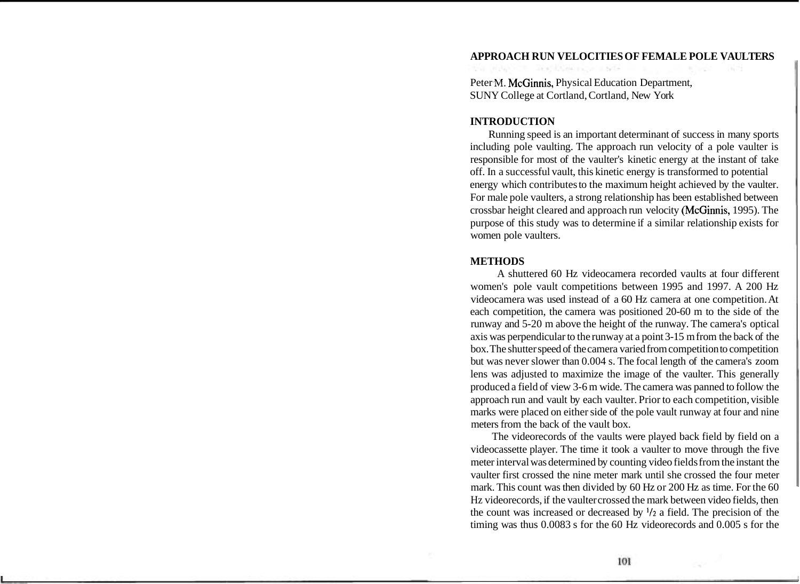#### **APPROACH RUN VELOCITIES OF FEMALE POLE VAULTERS**

Peter M. McGinnis, Physical Education Department, SUNY College at Cortland, Cortland, New York

#### **INTRODUCTION**

Running speed is an important determinant of success in many sports including pole vaulting. The approach run velocity of a pole vaulter is responsible for most of the vaulter's kinetic energy at the instant of take off. In a successful vault, this kinetic energy is transformed to potential energy which contributes to the maximum height achieved by the vaulter. For male pole vaulters, a strong relationship has been established between crossbar height cleared and approach run velocity (McGinnis, 1995). The purpose of this study was to determine if a similar relationship exists for women pole vaulters.

#### **METHODS**

A shuttered 60 Hz videocamera recorded vaults at four different women's pole vault competitions between 1995 and 1997. A 200 Hz videocamera was used instead of a 60 Hz camera at one competition. At each competition, the camera was positioned 20-60 m to the side of the runway and 5-20 m above the height of the runway. The camera's optical axis was perpendicular to the runway at a point 3-15 m from the back of the box. The shutter speed of the camera varied from competition to competition but was never slower than 0.004 s. The focal length of the camera's zoom lens was adjusted to maximize the image of the vaulter. This generally produced a field of view 3-6 m wide. The camera was panned to follow the approach run and vault by each vaulter. Prior to each competition, visible marks were placed on either side of the pole vault runway at four and nine meters from the back of the vault box.

The videorecords of the vaults were played back field by field on a videocassette player. The time it took a vaulter to move through the five meter interval was determined by counting video fields from the instant the vaulter first crossed the nine meter mark until she crossed the four meter mark. This count was then divided by 60 Hz or 200 Hz as time. For the 60 Hz videorecords, if the vaulter crossed the mark between video fields, then the count was increased or decreased by *'I2* a field. The precision of the timing was thus 0.0083 s for the 60 Hz videorecords and 0.005 s for the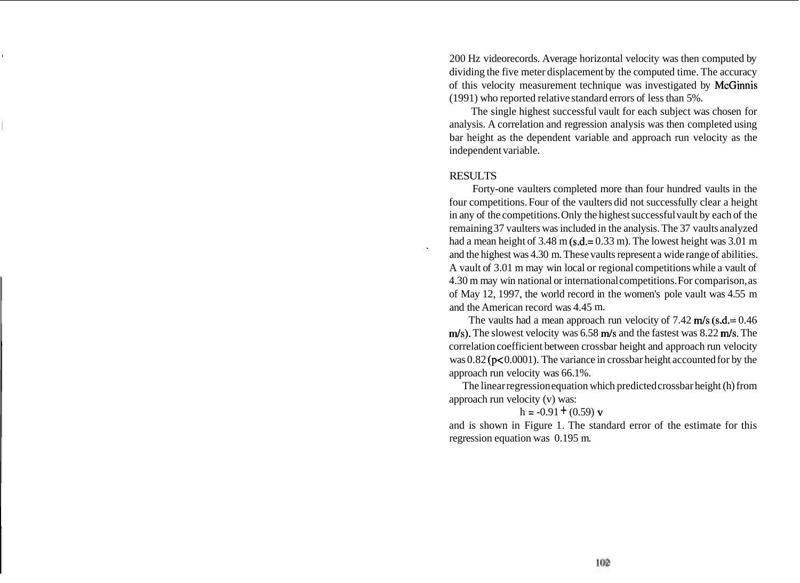<sup>I</sup>200 Hz videorecords. Average horizontal velocity was then computed by dividing the five meter displacement by the computed time. The accuracy of this velocity measurement technique was investigated by McGinnis (1991) who reported relative standard errors of less than 5%.

The single highest successful vault for each subject was chosen for analysis. A correlation and regression analysis was then completed using bar height as the dependent variable and approach run velocity as the independent variable.

## **RESULTS**

Forty-one vaulters completed more than four hundred vaults in the four competitions. Four of the vaulters did not successfully clear a height in any of the competitions. Only the highest successful vault by each of the remaining 37 vaulters was included in the analysis. The 37 vaults analyzed had a mean height of 3.48 m (s.d.= 0.33 m). The lowest height was 3.01 m and the highest was 4.30 m. These vaults represent a wide range of abilities. A vault of 3.01 m may win local or regional competitions while a vault of 4.30 m may win national or international competitions. For comparison, as of May 12, 1997, the world record in the women's pole vault was 4.55 m and the American record was 4.45 m.

The vaults had a mean approach run velocity of  $7.42 \text{ m/s}$  (s.d.= 0.46)  $m/s$ ). The slowest velocity was 6.58 m/s and the fastest was 8.22 m/s. The correlation coefficient between crossbar height and approach run velocity was 0.82 (p< 0.0001). The variance in crossbar height accounted for by the approach run velocity was 66.1%.

The linear regression equation which predicted crossbar height (h) from approach run velocity (v) was:

 $h = -0.91 + (0.59)$  v

and is shown in Figure 1. The standard error of the estimate for this regression equation was 0.195 m.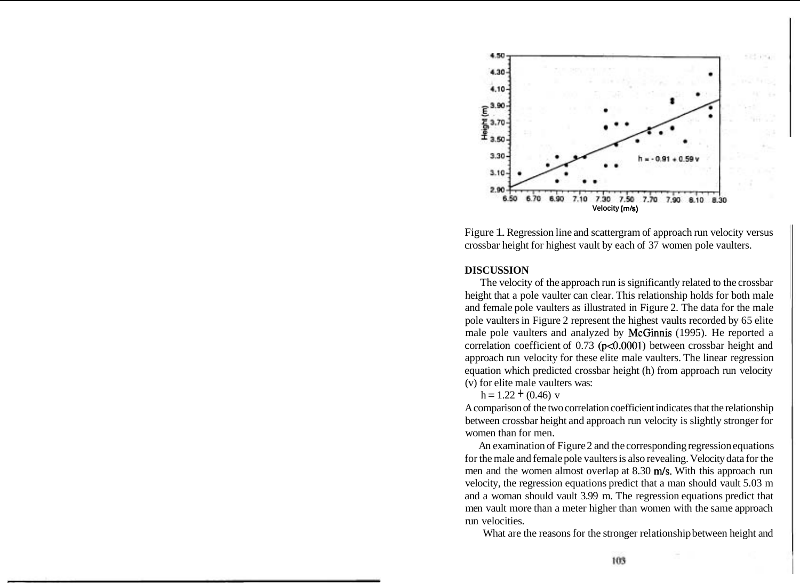

Figure 1. Regression line and scattergram of approach run velocity versus crossbar height for highest vault by each of 37 women pole vaulters.

## **DISCUSSION**

The velocity of the approach run is significantly related to the crossbar height that a pole vaulter can clear. This relationship holds for both male and female pole vaulters as illustrated in Figure 2. The data for the male pole vaulters in Figure 2 represent the highest vaults recorded by 65 elite male pole vaulters and analyzed by McGinnis (1995). He reported a correlation coefficient of 0.73 (p<0.0001) between crossbar height and approach run velocity for these elite male vaulters. The linear regression equation which predicted crossbar height (h) from approach run velocity (v) for elite male vaulters was:

 $h = 1.22 + (0.46)$  v

A comparison of the two correlation coefficient indicates that the relationship between crossbar height and approach run velocity is slightly stronger for women than for men.

An examination of Figure 2 and the corresponding regression equations for the male and female pole vaulters is also revealing. Velocity data for the men and the women almost overlap at 8.30 m/s. With this approach run velocity, the regression equations predict that a man should vault 5.03 m and a woman should vault 3.99 m. The regression equations predict that men vault more than a meter higher than women with the same approach run velocities.

What are the reasons for the stronger relationship between height and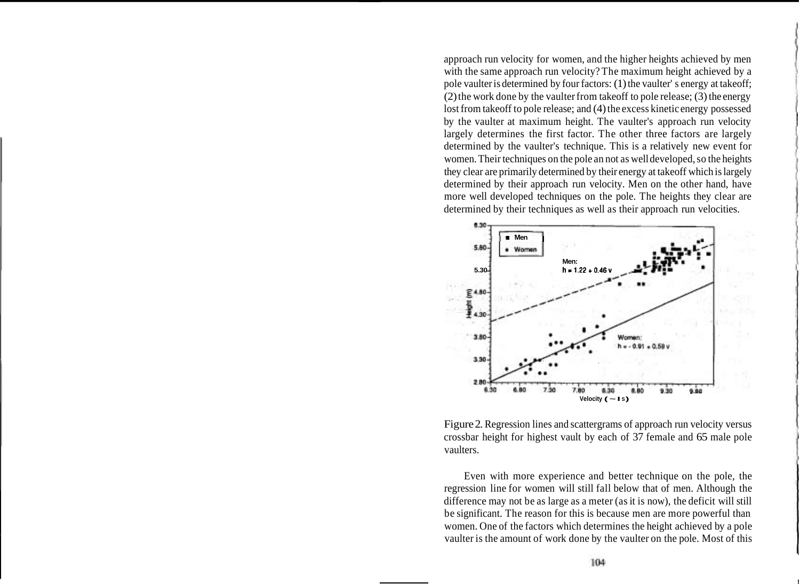approach run velocity for women, and the higher heights achieved by men with the same approach run velocity? The maximum height achieved by a pole vaulter is determined by four factors: (1) the vaulter' s energy at takeoff; (2) the work done by the vaulter from takeoff to pole release; (3) the energy lost from takeoff to pole release; and (4) the excess kinetic energy possessed by the vaulter at maximum height. The vaulter's approach run velocity largely determines the first factor. The other three factors are largely determined by the vaulter's technique. This is a relatively new event for women. Their techniques on the pole an not as well developed, so the heights they clear are primarily determined by their energy at takeoff which is largely determined by their approach run velocity. Men on the other hand, have more well developed techniques on the pole. The heights they clear are determined by their techniques as well as their approach run velocities.



Figure 2. Regression lines and scattergrams of approach run velocity versus crossbar height for highest vault by each of 37 female and 65 male pole vaulters.

Even with more experience and better technique on the pole, the regression line for women will still fall below that of men. Although the difference may not be as large as a meter (as it is now), the deficit will still be significant. The reason for this is because men are more powerful than women. One of the factors which determines the height achieved by a pole vaulter is the amount of work done by the vaulter on the pole. Most of this